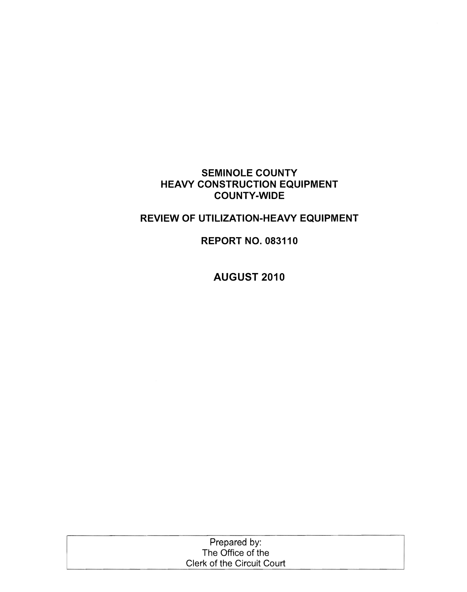## **SEMINOLE COUNTY HEAVY CONSTRUCTION EQUIPMENT COUNTY-WIDE**

## **REVIEW OF UTILIZATION-HEAVY EQUIPMENT**

**REPORT NO. 083110** 

**AUGUST 2010** 

| Prepared by:               |  |
|----------------------------|--|
| The Office of the          |  |
| Clerk of the Circuit Court |  |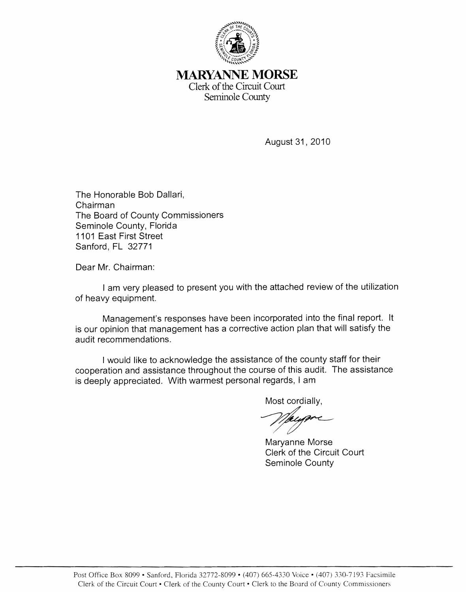

## MARYANNE **MORSE** Clerk of the Circuit Court Seminole County

August 31, 2010

The Honorable Bob Dallari, Chairman The Board of County Commissioners Seminole County, Florida 1101 East First Street Sanford, FL 32771

Dear Mr. Chairman:

I am very pleased to present you with the attached review of the utilization of heavy equipment.

Management's responses have been incorporated into the final report. It is our opinion that management has a corrective action plan that will satisfy the audit recommendations.

I would like to acknowledge the assistance of the county staff for their cooperation and assistance throughout the course of this audit. The assistance is deeply appreciated. With warmest personal regards, I am

Most cordially,

Maryanne Morse Clerk of the Circuit Court Seminole County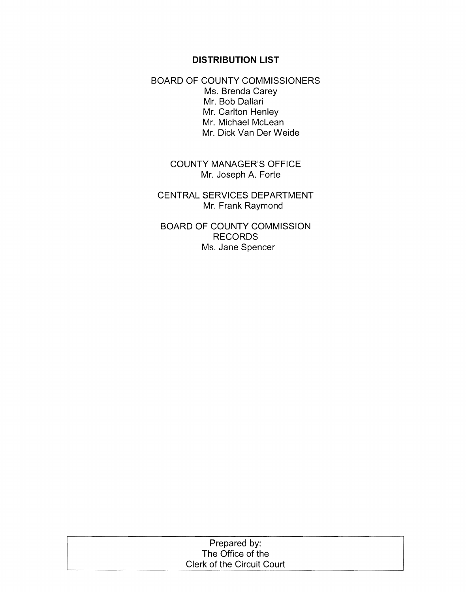## **DISTRIBUTION LIST**

BOARD OF COUNTY COMMISSIONERS Ms. Brenda Carey Mr. Bob Dallari Mr. Carlton Henley Mr. Michael McLean Mr. Dick Van Der Weide

> COUNTY MANAGER'S OFFICE Mr. Joseph A. Forte

CENTRAL SERVICES DEPARTMENT Mr. Frank Raymond

BOARD OF COUNTY COMMISSION RECORDS Ms. Jane Spencer

| Prepared by:               |  |
|----------------------------|--|
| The Office of the          |  |
| Clerk of the Circuit Court |  |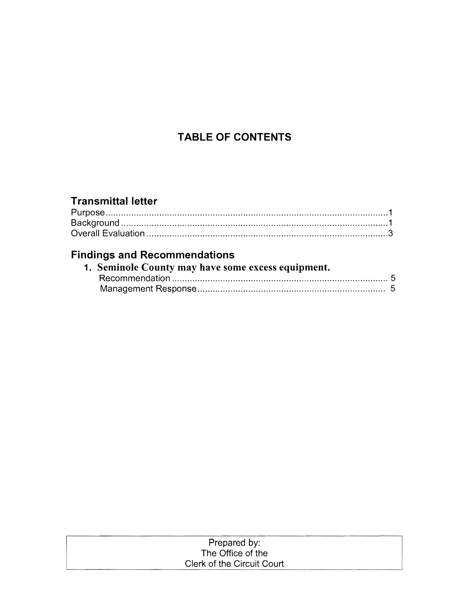# **TABLE OF CONTENTS**

# **Transmittal letter**

# **Findings and Recommendations**

| 1. Seminole County may have some excess equipment. |  |  |
|----------------------------------------------------|--|--|
|                                                    |  |  |
|                                                    |  |  |

| Prepared by:               |  |
|----------------------------|--|
| The Office of the          |  |
| Clerk of the Circuit Court |  |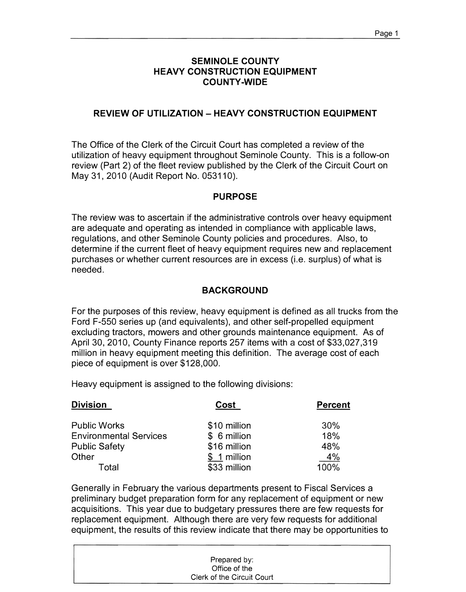## **SEMINOLE COUNTY HEAVY CONSTRUCTION EQUIPMENT COUNTY -WIDE**

### **REVIEW OF UTILIZATION - HEAVY CONSTRUCTION EQUIPMENT**

The Office of the Clerk of the Circuit Court has completed a review of the utilization of heavy equipment throughout Seminole County. This is a follow-on review (Part 2) of the fleet review published by the Clerk of the Circuit Court on May 31,2010 (Audit Report No. 053110).

#### **PURPOSE**

The review was to ascertain if the administrative controls over heavy equipment are adequate and operating as intended in compliance with applicable laws, regulations, and other Seminole County policies and procedures. Also, to determine if the current fleet of heavy equipment requires new and replacement purchases or whether current resources are in excess (i.e. surplus) of what is needed.

### **BACKGROUND**

For the purposes of this review, heavy equipment is defined as all trucks from the Ford F-550 series up (and equivalents), and other self-propelled equipment excluding tractors, mowers and other grounds maintenance equipment. As of April 30, 2010, County Finance reports 257 items with a cost of \$33,027,319 million in heavy equipment meeting this definition. The average cost of each piece of equipment is over \$128,000.

Heavy equipment is assigned to the following divisions:

| <b>Division</b>               | Cost         | <b>Percent</b> |
|-------------------------------|--------------|----------------|
| <b>Public Works</b>           | \$10 million | 30%            |
| <b>Environmental Services</b> | \$ 6 million | 18%            |
| <b>Public Safety</b>          | \$16 million | 48%            |
| Other                         | \$ 1 million | 4%             |
| Total                         | \$33 million | 100%           |

Generally in February the various departments present to Fiscal Services a preliminary budget preparation form for any replacement of equipment or new acquisitions. This year due to budgetary pressures there are few requests for replacement equipment. Although there are very few requests for additional equipment, the results of this review indicate that there may be opportunities to

| Prepared by:               |  |
|----------------------------|--|
| Office of the              |  |
| Clerk of the Circuit Court |  |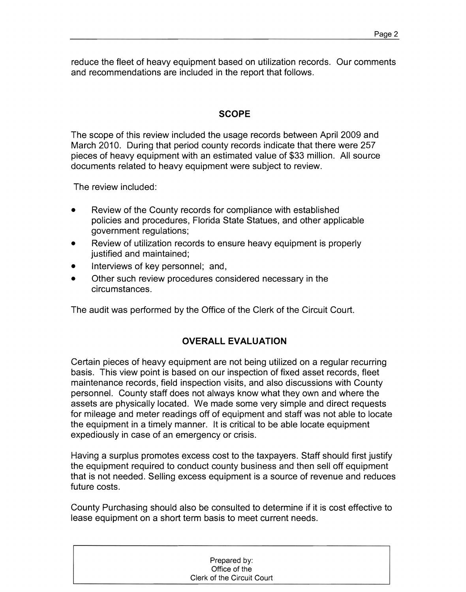reduce the fleet of heavy equipment based on utilization records. Our comments and recommendations are included in the report that follows.

## **SCOPE**

The scope of this review included the usage records between April 2009 and March 2010. During that period county records indicate that there were 257 pieces of heavy equipment with an estimated value of \$33 million. All source documents related to heavy equipment were subject to review.

The review included:

- Review of the County records for compliance with established policies and procedures, Florida State Statues, and other applicable government regulations;
- Review of utilization records to ensure heavy equipment is properly justified and maintained;
- Interviews of key personnel; and,
- Other such review procedures considered necessary in the circumstances.

The audit was performed by the Office of the Clerk of the Circuit Court.

## **OVERALL EVALUATION**

Certain pieces of heavy equipment are not being utilized on a regular recurring basis. This view point is based on our inspection of fixed asset records, fleet maintenance records, field inspection visits, and also discussions with County personnel. County staff does not always know what they own and where the assets are physically located. We made some very simple and direct requests for mileage and meter readings off of equipment and staff was not able to locate the equipment in a timely manner. It is critical to be able locate equipment expediously in case of an emergency or crisis.

Having a surplus promotes excess cost to the taxpayers. Staff should first justify the equipment required to conduct county business and then sell off equipment that is not needed. Selling excess equipment is a source of revenue and reduces future costs.

County Purchasing should also be consulted to determine if it is cost effective to lease equipment on a short term basis to meet current needs.

| Prepared by:               |
|----------------------------|
| Office of the              |
| Clerk of the Circuit Court |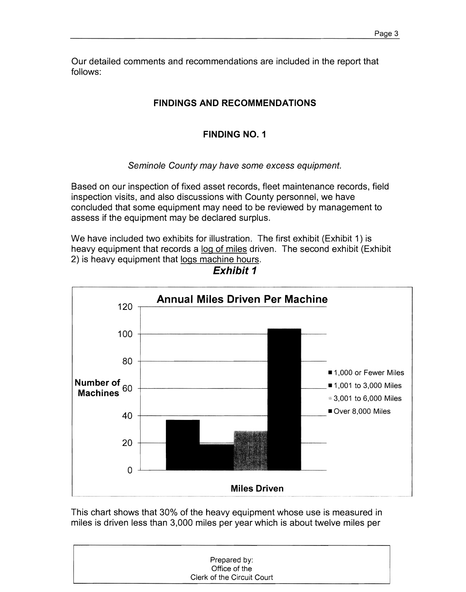Our detailed comments and recommendations are included in the report that follows:

## **FINDINGS AND RECOMMENDATIONS**

## **FINDING NO.1**

Seminole County may have some excess equipment.

Based on our inspection of fixed asset records, fleet maintenance records, field inspection visits, and also discussions with County personnel, we have concluded that some equipment may need to be reviewed by management to assess if the equipment may be declared surplus.

We have included two exhibits for illustration. The first exhibit (Exhibit 1) is heavy equipment that records a log of miles driven. The second exhibit (Exhibit 2) is heavy equipment that logs machine hours.



**Exhibit 1** 

This chart shows that 30% of the heavy equipment whose use is measured in miles is driven less than 3,000 miles per year which is about twelve miles per

| Prepared by:               |  |
|----------------------------|--|
| Office of the              |  |
| Clerk of the Circuit Court |  |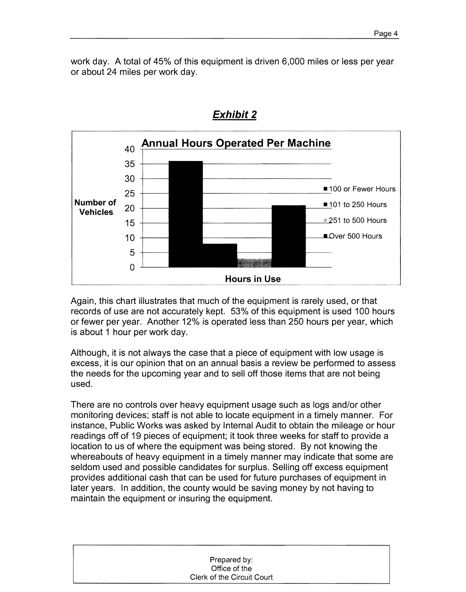work day. A total of 45% of this equipment is driven 6,000 miles or less per year or about 24 miles per work day.



## Exhibit 2

Again, this chart illustrates that much of the equipment is rarely used, or that records of use are not accurately kept. 53% of this equipment is used 100 hours or fewer per year. Another 12% is operated less than 250 hours per year, which is about 1 hour per work day.

Although, it is not always the case that a piece of equipment with low usage is excess, it is our opinion that on an annual basis a review be performed to assess the needs for the upcoming year and to sell off those items that are not being used.

There are no controls over heavy equipment usage such as logs and/or other monitoring devices; staff is not able to locate equipment in a timely manner. For instance, Public Works was asked by Internal Audit to obtain the mileage or hour readings off of 19 pieces of equipment; it took three weeks for staff to provide a location to us of where the equipment was being stored. By not knowing the whereabouts of heavy equipment in a timely manner may indicate that some are seldom used and possible candidates for surplus. Selling off excess equipment provides additional cash that can be used for future purchases of equipment in later years. In addition, the county would be saving money by not having to maintain the equipment or insuring the equipment.

| Prepared by:               |  |
|----------------------------|--|
| Office of the              |  |
| Clerk of the Circuit Court |  |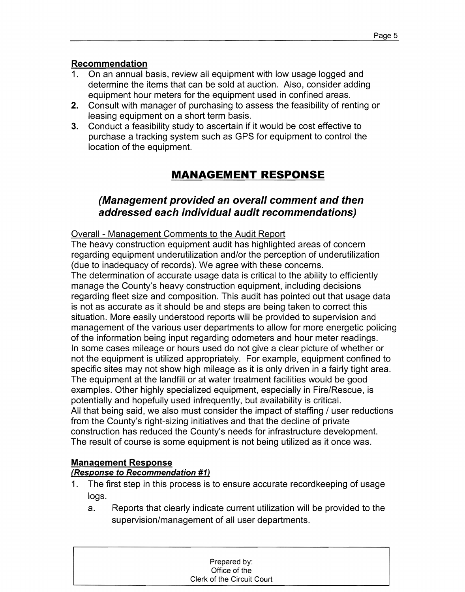## Recommendation

- 1. On an annual basis, review all equipment with low usage logged and determine the items that can be sold at auction. Also, consider adding equipment hour meters for the equipment used in confined areas.
- 2. Consult with manager of purchasing to assess the feasibility of renting or leasing equipment on a short term basis.
- 3. Conduct a feasibility study to ascertain if it would be cost effective to purchase a tracking system such as GPS for equipment to control the location of the equipment.

# **MANAGEMENT RESPONSE**

## (Management provided an overall comment and then addressed each individual audit recommendations)

Overall - Management Comments to the Audit Report

The heavy construction equipment audit has highlighted areas of concern regarding equipment underutilization and/or the perception of underutilization (due to inadequacy of records). We agree with these concerns.

The determination of accurate usage data is critical to the ability to efficiently manage the County's heavy construction equipment, including decisions regarding fleet size and composition. This audit has pointed out that usage data is not as accurate as it should be and steps are being taken to correct this situation. More easily understood reports will be provided to supervision and management of the various user departments to allow for more energetic policing of the information being input regarding odometers and hour meter readings. In some cases mileage or hours used do not give a clear picture of whether or not the equipment is utilized appropriately. For example, equipment confined to specific sites may not show high mileage as it is only driven in a fairly tight area. The equipment at the landfill or at water treatment facilities would be good examples. Other highly specialized equipment, especially in Fire/Rescue, is potentially and hopefully used infrequently, but availability is critical. All that being said, we also must consider the impact of staffing / user reductions from the County's right-sizing initiatives and that the decline of private construction has reduced the County's needs for infrastructure development. The result of course is some equipment is not being utilized as it once was.

#### Management Response

#### (Response to Recommendation #1)

- 1. The first step in this process is to ensure accurate recordkeeping of usage logs.
	- a. Reports that clearly indicate current utilization will be provided to the supervision/management of all user departments.

| Prepared by:               |
|----------------------------|
| Office of the              |
| Clerk of the Circuit Court |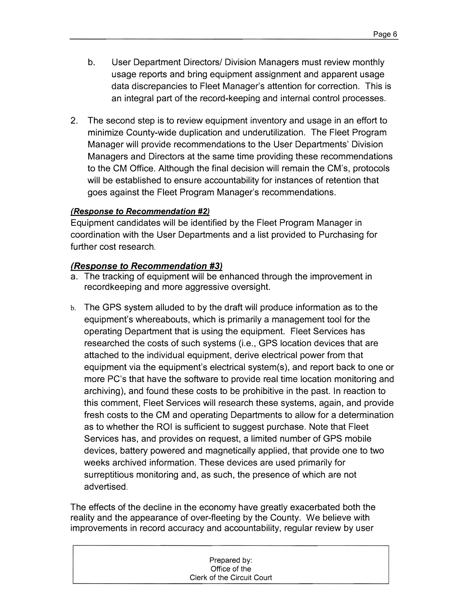- b. User Department Directors/ Division Managers must review monthly usage reports and bring equipment assignment and apparent usage data discrepancies to Fleet Manager's attention for correction. This is an integral part of the record-keeping and internal control processes.
- 2. The second step is to review equipment inventory and usage in an effort to minimize County-wide duplication and underutilization. The Fleet Program Manager will provide recommendations to the User Departments' Division Managers and Directors at the same time providing these recommendations to the CM Office. Although the final decision will remain the CM's, protocols will be established to ensure accountability for instances of retention that goes against the Fleet Program Manager's recommendations.

### (Response to Recommendation #2)

Equipment candidates will be identified by the Fleet Program Manager in coordination with the User Departments and a list provided to Purchasing for further cost research.

### (Response to Recommendation #3)

- a. The tracking of equipment will be enhanced through the improvement in recordkeeping and more aggressive oversight.
- b. The GPS system alluded to by the draft will produce information as to the equipment's whereabouts, which is primarily a management tool for the operating Department that is using the equipment. Fleet Services has researched the costs of such systems (i.e., GPS location devices that are attached to the individual equipment, derive electrical power from that equipment via the equipment's electrical system(s), and report back to one or more PC's that have the software to provide real time location monitoring and archiving), and found these costs to be prohibitive in the past. In reaction to this comment, Fleet Services will research these systems, again, and provide fresh costs to the CM and operating Departments to allow for a determination as to whether the ROI is sufficient to suggest purchase. Note that Fleet Services has, and provides on request, a limited number of GPS mobile devices, battery powered and magnetically applied, that provide one to two weeks archived information. These devices are used primarily for surreptitious monitoring and, as such, the presence of which are not advertised.

The effects of the decline in the economy have greatly exacerbated both the reality and the appearance of over-fleeting by the County. We believe with improvements in record accuracy and accountability, regular review by user

| Prepared by:               |  |
|----------------------------|--|
| Office of the              |  |
| Clerk of the Circuit Court |  |